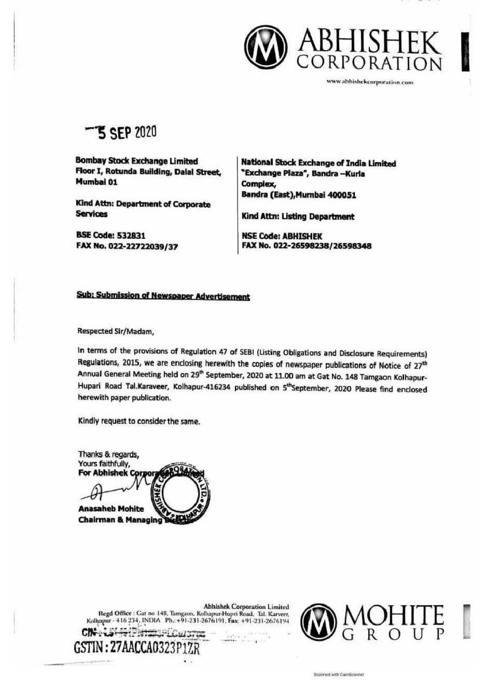

wwwabhishekcorporatinn com

—S SEP 2020

Bombay Stock Exchange Limited | National Stock Exchange of India Limited<br>Floor I, Rotunda Building, Dalal Street, | "Exchange Plaza", Bandra –Kurla Mumbai 01 Complex,

Bandra (East),Mumbai 400051 Kind Attn: Department of Corporate Services Kind Attn: Listing Department

BSE Code: 532831 NSE Code: ABHISHEK FAX No. 022-22722039/37 FAX No. 022-26598238/26598348

#### Sub: Submission of Newspaper Advertisement

Respected Sir/Madam,

In terms of the provisions of Regulation 47 of SEBI (Listing Obligations and Disclosure Requirements)<br>Regulations, 2015, we are enclosing herewith the copies of newspaper publications of Notice of 27<sup>th</sup> Annual General Meeting held on 29<sup>th</sup> September, 2020 at 11.00 am at Gat No. 148 Tamgaon Kolhapur-Hupari Road Tal.Karaveer, Kolhapur-416234 published on 5<sup>th</sup>September, 2020 Please find enclosed herewith paper publication.

Kindly request to consider the same.

Thanks & regards, 'Yours faithfully, For Abhishek Corpora **Anasaheb Mohite Chairman & Managing** 

**Abhishek Corporation Limited** Regd Office : Gat no 148, Tamgaon, Kolhapur-Hupri Road, Tal. Karveer,<br>Kolhapur - 416 234, INDIA Ph.: +91-231-2676191, Fax: +91-231-2676194 CROUST ' GENERAL COUST



Scanned with CamScanner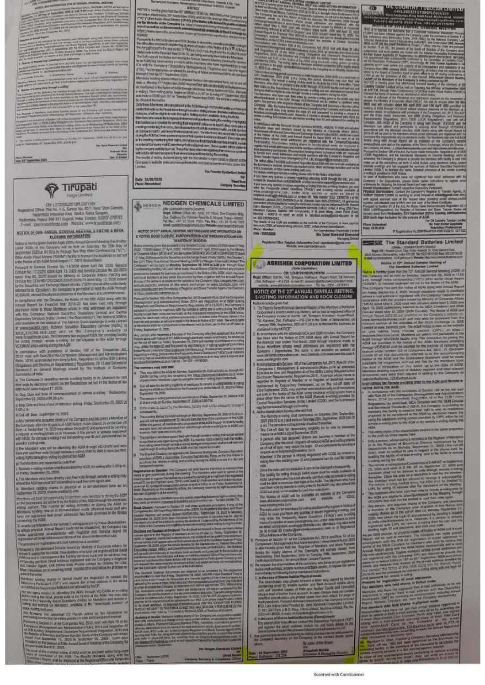**COLUMN TABLE** 

the lot regiment better for

**Lawrence of the ALB RD** 

**Jun 10 Newman 2021** 



**COMBI altituding targete AGE** 

d The Company's about 4 particle is story today to its Marcosco in East<br>her you by company that the Resources and art in France at Bill<br>applications described 17, 2000

by Gaug, there and forms of international and international and<br>September 21, 19350 of 80,000 a.m.

() Days, Deterministics of and of restoratory and any France, September 215, 2000 at

mitchert Univ September 14, 2020

which provided the first first most buy thick, has been up after 1.100 p.e.<br>Namely, 216, 2020

the short primarization of the state longitude of the state of the state of the state of the state of the state of the state of the state of the state of the state of the state of the state of the state of the state of th

and the spectrum is a second constant of the pressure of product the form age of COP) and a second in finite  $\mathbb{R}^n$  is a second to the spectrum of the spectrum of the spectrum of the spectrum is a second to the spectr

o de Propagan al Cale de

the most begin a simple of AGAD small between the simple of their sections.<br>Whereas all their Algor The Musicide Shellaged, their All for anspirated at the the

STOCK IS NOT THE TABLE IN THE MOTOR CONTINUES.<br>In fact in Vital movements for the fact Additional Continues.

**TYPE V DENNIR** 19.17 *INTHERNOISE* 

kare Banghamman (d<br>1911 Bangha Malepay **Minuts** terioretische stratege<br>miliaren Unidia (portugue<br>Fotografia uarquegnantis<br>ségüe 2001 le 19 and greaters for any<br>welcomery rule parts **WTH** 

#### MEDICAL NEOGEN CHEMICALS LIMITED CRESCOUTINESIMPLESSOROS<br>Regel Office: CPlus No. 1282, 121 Filius, One Ci

MOTHER OF THE GAMES A SECTION WITH HIS LAGISLAND DIFFERENCES ON EVOLUTION CONTINUES AND THEORETICS AND THEORETICS AND THE CONTINUES.

The senior and surveys from a financial to the senior of the senior field of the senior field of the senior field of the senior field of the senior field of the senior field of the senior field of the senior field of the s a They Fund Ameri<br>19 They Fund America<br>19 The Fund America of its the Network that Affel as **GREEN** 

**COLLEGE** 

a members was substituted<br>They are a simple with the factors for the six of the six of the six of the<br>Caracter six and her committee and the six of the six of the six<br>Caracter six and the six of the six of the six of the s of an in mind.<br>The same collection

of the automobile The means of subspaces

this land by the Decision terms shall suffice

The suche dampter hold at<br>animal antalogue at 20<br>system trajected at models of<br>animal function of photoshops

daig Manupo<br>Af stud Bactle

**PAPER DIE RE** 

of stat an Changra (p) **THE BUILT AF** 

artist Therm W

**The Company Company VERNIC IREF (FOR 4 A)** m.

state are togained<br>Angly Magnese and<br>Mala succe Franz Tomatic Agent<br>The Indian of Executive pany's united it. of<br>Hilde or uter to

The Maria of Anti-Alexander and Company of the Company of the Alexander School (1992)<br>And the Maria of Anti-Alexander and Company of the Alexander School (1993)<br>And Company of Alexander School (1993)<br>Anglick Charles School Photo Museum

### ABHISHEK CORPORATION LIMITED

OR LINEPEGEPLETIN 1785 SAL Setupat<br>- 418 PSA E-mal EL **TERM** 

NOTICE OF THE 27 ANNUAL GENERAL MEETING

- 
- 
- NOTICE OF THE 27 ANNUAL GENERAL METHOD.<br>
EVOITING INFORMATION AND BOOK CLOSURE

and the relationship contained in the state of the problem of the state of the state of the state of the state of the state of the state of the state of the state of the state of the state of the state of the state of the

i.

- 
- kш
- 
- the shower<br>and set also of Clark and Cam **STEP Sank panel Profit Park**<br>RTR, Lisa, Istina K<br>C., Ital, 247 Park, I

and register the to

<u> Alexandria de Santo de Alexandria de Santo de Santo de Santo de Santo de Santo de Santo de Santo de Santo de S</u> **HEATH THE** 

 $\overline{\omega}$ 

œ 篇 The first side of the stand control and the April on of the Killer W Bring and

Level (1956)<br>- Kary II (1966)<br>III (Jam of Palitim

ingang / Pa (sis<br>Atmosfero the books<br>The books<br>The books of<br>The books of all

**Diesel Theologian<br>Flydod Stevhens**<br>Antick System Line<br>Antick Ad (Tenad  $\label{eq:3} \mathbf{v}^{\text{R}}_{\text{R}} = \mathbf{v}^{\text{R}}_{\text{R}} \mathbf{v}^{\text{R}}_{\text{R}} \mathbf{v}^{\text{R}}_{\text{R}}$ **Will justify fore** 

For the Country The Plaze Pythreball<br>Croix 03.19.3030 語 **P** Supra

**SAL The Standard Batteries Limited** 

**Rodes of 75th Annual Censor to** The Absolute of Automatic Lincolni<br>by giant Paul 2nd 127 Automat Conversi Ma<br>and not had not Months.

da fine flamenhe aveclifta av<br>strig fine Adam

The united cores of the searchest Only a person of the

de 2 (1542)<br>Service Pavi<br>Let ut the AV

**APRIL AND AREA** 

 $4<sup>2</sup>$ 

MARK AND THE SAFE O

**DATE OF THE ARTIST** 

e Curang ad ac<br>m. magh Adas